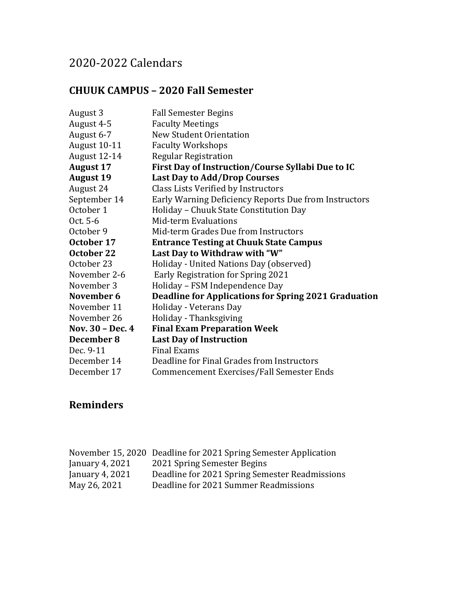## 2020-2022 Calendars

#### **CHUUK CAMPUS – 2020 Fall Semester**

| August 3         | <b>Fall Semester Begins</b>                                 |
|------------------|-------------------------------------------------------------|
| August 4-5       | <b>Faculty Meetings</b>                                     |
| August 6-7       | <b>New Student Orientation</b>                              |
| August 10-11     | <b>Faculty Workshops</b>                                    |
| August 12-14     | <b>Regular Registration</b>                                 |
| <b>August 17</b> | First Day of Instruction/Course Syllabi Due to IC           |
| <b>August 19</b> | <b>Last Day to Add/Drop Courses</b>                         |
| August 24        | Class Lists Verified by Instructors                         |
| September 14     | Early Warning Deficiency Reports Due from Instructors       |
| October 1        | Holiday - Chuuk State Constitution Day                      |
| Oct. 5-6         | Mid-term Evaluations                                        |
| October 9        | Mid-term Grades Due from Instructors                        |
| October 17       | <b>Entrance Testing at Chuuk State Campus</b>               |
| October 22       | Last Day to Withdraw with "W"                               |
| October 23       | Holiday - United Nations Day (observed)                     |
| November 2-6     | Early Registration for Spring 2021                          |
| November 3       | Holiday - FSM Independence Day                              |
| November 6       | <b>Deadline for Applications for Spring 2021 Graduation</b> |
| November 11      | Holiday - Veterans Day                                      |
| November 26      | Holiday - Thanksgiving                                      |
| Nov. 30 - Dec. 4 | <b>Final Exam Preparation Week</b>                          |
| December 8       | <b>Last Day of Instruction</b>                              |
| Dec. 9-11        | <b>Final Exams</b>                                          |
| December 14      | Deadline for Final Grades from Instructors                  |
| December 17      | Commencement Exercises/Fall Semester Ends                   |

|                 | November 15, 2020 Deadline for 2021 Spring Semester Application |
|-----------------|-----------------------------------------------------------------|
| January 4, 2021 | 2021 Spring Semester Begins                                     |
| January 4, 2021 | Deadline for 2021 Spring Semester Readmissions                  |
| May 26, 2021    | Deadline for 2021 Summer Readmissions                           |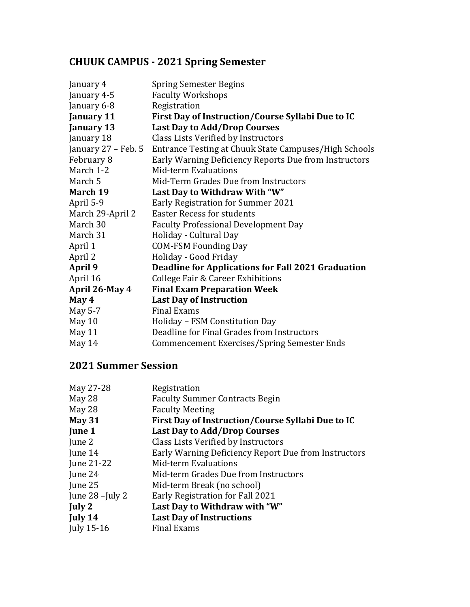## **CHUUK CAMPUS - 2021 Spring Semester**

| January 4           | <b>Spring Semester Begins</b>                             |
|---------------------|-----------------------------------------------------------|
| January 4-5         | <b>Faculty Workshops</b>                                  |
| January 6-8         | Registration                                              |
| <b>January 11</b>   | First Day of Instruction/Course Syllabi Due to IC         |
| January 13          | <b>Last Day to Add/Drop Courses</b>                       |
| January 18          | Class Lists Verified by Instructors                       |
| January 27 – Feb. 5 | Entrance Testing at Chuuk State Campuses/High Schools     |
| February 8          | Early Warning Deficiency Reports Due from Instructors     |
| March 1-2           | Mid-term Evaluations                                      |
| March 5             | Mid-Term Grades Due from Instructors                      |
| March 19            | Last Day to Withdraw With "W"                             |
| April 5-9           | <b>Early Registration for Summer 2021</b>                 |
| March 29-April 2    | <b>Easter Recess for students</b>                         |
| March 30            | <b>Faculty Professional Development Day</b>               |
| March 31            | Holiday - Cultural Day                                    |
| April 1             | <b>COM-FSM Founding Day</b>                               |
| April 2             | Holiday - Good Friday                                     |
| <b>April 9</b>      | <b>Deadline for Applications for Fall 2021 Graduation</b> |
| April 16            | College Fair & Career Exhibitions                         |
| April 26-May 4      | <b>Final Exam Preparation Week</b>                        |
| May 4               | <b>Last Day of Instruction</b>                            |
| May 5-7             | <b>Final Exams</b>                                        |
| May 10              | Holiday - FSM Constitution Day                            |
| May 11              | Deadline for Final Grades from Instructors                |
| May 14              | <b>Commencement Exercises/Spring Semester Ends</b>        |
|                     |                                                           |

| May 27-28         | Registration                                         |
|-------------------|------------------------------------------------------|
| May 28            | <b>Faculty Summer Contracts Begin</b>                |
| May 28            | <b>Faculty Meeting</b>                               |
| <b>May 31</b>     | First Day of Instruction/Course Syllabi Due to IC    |
| June 1            | <b>Last Day to Add/Drop Courses</b>                  |
| June 2            | Class Lists Verified by Instructors                  |
| June 14           | Early Warning Deficiency Report Due from Instructors |
| June 21-22        | Mid-term Evaluations                                 |
| June 24           | Mid-term Grades Due from Instructors                 |
| June 25           | Mid-term Break (no school)                           |
| June $28$ -July 2 | Early Registration for Fall 2021                     |
| July 2            | Last Day to Withdraw with "W"                        |
| July 14           | <b>Last Day of Instructions</b>                      |
| July 15-16        | <b>Final Exams</b>                                   |
|                   |                                                      |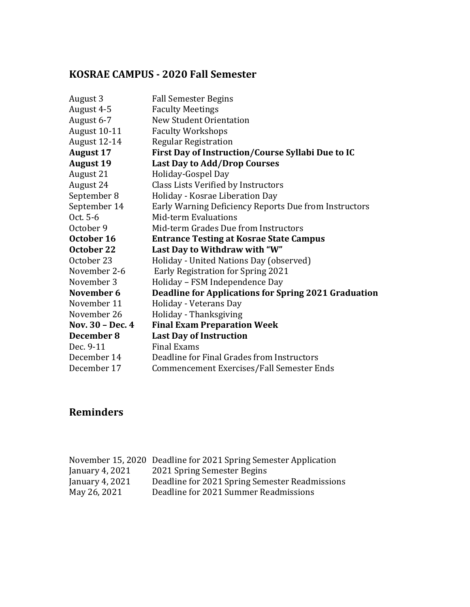## **KOSRAE CAMPUS - 2020 Fall Semester**

| August 3         | <b>Fall Semester Begins</b>                                 |
|------------------|-------------------------------------------------------------|
| August 4-5       | <b>Faculty Meetings</b>                                     |
| August 6-7       | <b>New Student Orientation</b>                              |
| August 10-11     | <b>Faculty Workshops</b>                                    |
| August 12-14     | <b>Regular Registration</b>                                 |
| <b>August 17</b> | First Day of Instruction/Course Syllabi Due to IC           |
| <b>August 19</b> | <b>Last Day to Add/Drop Courses</b>                         |
| August 21        | Holiday-Gospel Day                                          |
| August 24        | Class Lists Verified by Instructors                         |
| September 8      | Holiday - Kosrae Liberation Day                             |
| September 14     | Early Warning Deficiency Reports Due from Instructors       |
| Oct. 5-6         | Mid-term Evaluations                                        |
| October 9        | Mid-term Grades Due from Instructors                        |
| October 16       | <b>Entrance Testing at Kosrae State Campus</b>              |
| October 22       | Last Day to Withdraw with "W"                               |
| October 23       | Holiday - United Nations Day (observed)                     |
| November 2-6     | Early Registration for Spring 2021                          |
| November 3       | Holiday - FSM Independence Day                              |
| November 6       | <b>Deadline for Applications for Spring 2021 Graduation</b> |
| November 11      | Holiday - Veterans Day                                      |
| November 26      | Holiday - Thanksgiving                                      |
| Nov. 30 - Dec. 4 | <b>Final Exam Preparation Week</b>                          |
|                  |                                                             |
| December 8       | <b>Last Day of Instruction</b>                              |
| Dec. 9-11        | <b>Final Exams</b>                                          |
| December 14      | Deadline for Final Grades from Instructors                  |

|                   | November 15, 2020 Deadline for 2021 Spring Semester Application |
|-------------------|-----------------------------------------------------------------|
| January 4, $2021$ | 2021 Spring Semester Begins                                     |
| January 4, 2021   | Deadline for 2021 Spring Semester Readmissions                  |
| May 26, 2021      | Deadline for 2021 Summer Readmissions                           |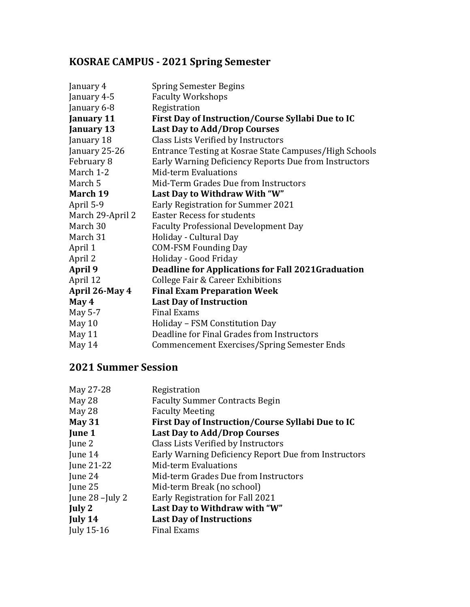## **KOSRAE CAMPUS - 2021 Spring Semester**

| January 4         | <b>Spring Semester Begins</b>                            |
|-------------------|----------------------------------------------------------|
| January 4-5       | <b>Faculty Workshops</b>                                 |
| January 6-8       | Registration                                             |
| <b>January 11</b> | First Day of Instruction/Course Syllabi Due to IC        |
| January 13        | <b>Last Day to Add/Drop Courses</b>                      |
| January 18        | Class Lists Verified by Instructors                      |
| January 25-26     | Entrance Testing at Kosrae State Campuses/High Schools   |
| February 8        | Early Warning Deficiency Reports Due from Instructors    |
| March 1-2         | Mid-term Evaluations                                     |
| March 5           | Mid-Term Grades Due from Instructors                     |
| March 19          | Last Day to Withdraw With "W"                            |
| April 5-9         | <b>Early Registration for Summer 2021</b>                |
| March 29-April 2  | <b>Easter Recess for students</b>                        |
| March 30          | <b>Faculty Professional Development Day</b>              |
| March 31          | Holiday - Cultural Day                                   |
| April 1           | <b>COM-FSM Founding Day</b>                              |
| April 2           | Holiday - Good Friday                                    |
| April 9           | <b>Deadline for Applications for Fall 2021Graduation</b> |
| April 12          | <b>College Fair &amp; Career Exhibitions</b>             |
| April 26-May 4    | <b>Final Exam Preparation Week</b>                       |
| May 4             | <b>Last Day of Instruction</b>                           |
| May 5-7           | <b>Final Exams</b>                                       |
| May 10            | Holiday - FSM Constitution Day                           |
| May 11            | Deadline for Final Grades from Instructors               |
| May 14            | Commencement Exercises/Spring Semester Ends              |

| May 27-28       | Registration                                         |
|-----------------|------------------------------------------------------|
| May 28          | <b>Faculty Summer Contracts Begin</b>                |
| May 28          | <b>Faculty Meeting</b>                               |
| <b>May 31</b>   | First Day of Instruction/Course Syllabi Due to IC    |
| June 1          | <b>Last Day to Add/Drop Courses</b>                  |
| June 2          | Class Lists Verified by Instructors                  |
| June 14         | Early Warning Deficiency Report Due from Instructors |
| June 21-22      | <b>Mid-term Evaluations</b>                          |
| June 24         | Mid-term Grades Due from Instructors                 |
| June 25         | Mid-term Break (no school)                           |
| June 28 -July 2 | Early Registration for Fall 2021                     |
| July 2          | Last Day to Withdraw with "W"                        |
| July 14         | <b>Last Day of Instructions</b>                      |
| July 15-16      | <b>Final Exams</b>                                   |
|                 |                                                      |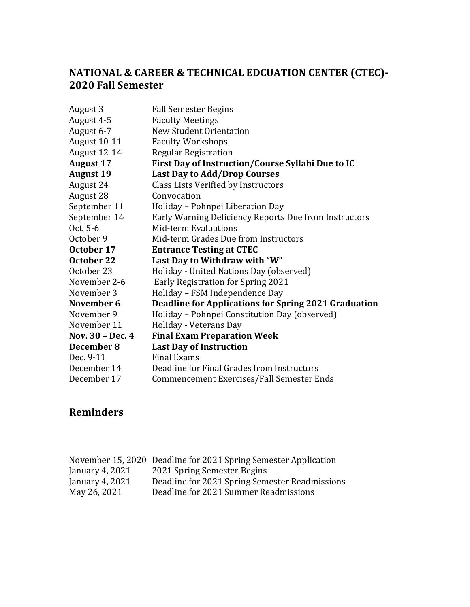### **NATIONAL & CAREER & TECHNICAL EDCUATION CENTER (CTEC)- 2020 Fall Semester**

| August 3         | <b>Fall Semester Begins</b>                                 |
|------------------|-------------------------------------------------------------|
| August 4-5       | <b>Faculty Meetings</b>                                     |
| August 6-7       | <b>New Student Orientation</b>                              |
| August 10-11     | <b>Faculty Workshops</b>                                    |
| August 12-14     | <b>Regular Registration</b>                                 |
| <b>August 17</b> | First Day of Instruction/Course Syllabi Due to IC           |
| <b>August 19</b> | <b>Last Day to Add/Drop Courses</b>                         |
| August 24        | Class Lists Verified by Instructors                         |
| August 28        | Convocation                                                 |
| September 11     | Holiday - Pohnpei Liberation Day                            |
| September 14     | Early Warning Deficiency Reports Due from Instructors       |
| Oct. 5-6         | Mid-term Evaluations                                        |
| October 9        | Mid-term Grades Due from Instructors                        |
| October 17       | <b>Entrance Testing at CTEC</b>                             |
| October 22       | Last Day to Withdraw with "W"                               |
| October 23       | Holiday - United Nations Day (observed)                     |
|                  |                                                             |
| November 2-6     | Early Registration for Spring 2021                          |
| November 3       | Holiday - FSM Independence Day                              |
| November 6       | <b>Deadline for Applications for Spring 2021 Graduation</b> |
| November 9       | Holiday - Pohnpei Constitution Day (observed)               |
| November 11      | Holiday - Veterans Day                                      |
| Nov. 30 - Dec. 4 | <b>Final Exam Preparation Week</b>                          |
| December 8       | <b>Last Day of Instruction</b>                              |
| Dec. 9-11        | <b>Final Exams</b>                                          |
| December 14      | Deadline for Final Grades from Instructors                  |

|                 | November 15, 2020 Deadline for 2021 Spring Semester Application |
|-----------------|-----------------------------------------------------------------|
| January 4, 2021 | 2021 Spring Semester Begins                                     |
| January 4, 2021 | Deadline for 2021 Spring Semester Readmissions                  |
| May 26, 2021    | Deadline for 2021 Summer Readmissions                           |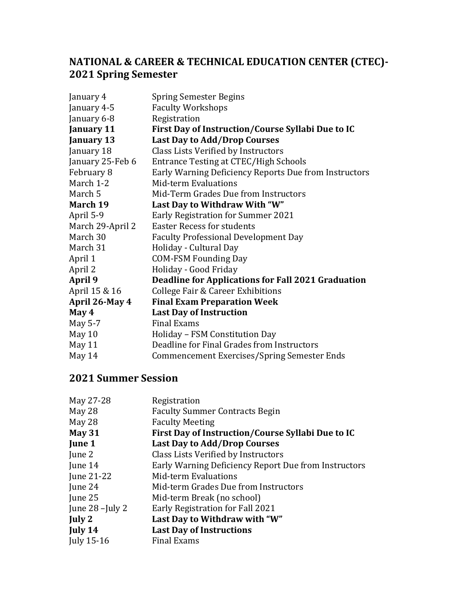### **NATIONAL & CAREER & TECHNICAL EDUCATION CENTER (CTEC)- 2021 Spring Semester**

| January 4        | <b>Spring Semester Begins</b>                         |
|------------------|-------------------------------------------------------|
| January 4-5      | <b>Faculty Workshops</b>                              |
| January 6-8      | Registration                                          |
| January 11       | First Day of Instruction/Course Syllabi Due to IC     |
| January 13       | <b>Last Day to Add/Drop Courses</b>                   |
| January 18       | Class Lists Verified by Instructors                   |
| January 25-Feb 6 | Entrance Testing at CTEC/High Schools                 |
| February 8       | Early Warning Deficiency Reports Due from Instructors |
| March 1-2        | Mid-term Evaluations                                  |
| March 5          | Mid-Term Grades Due from Instructors                  |
| March 19         | Last Day to Withdraw With "W"                         |
| April 5-9        | <b>Early Registration for Summer 2021</b>             |
| March 29-April 2 | <b>Easter Recess for students</b>                     |
| March 30         | <b>Faculty Professional Development Day</b>           |
| March 31         | Holiday - Cultural Day                                |
| April 1          | <b>COM-FSM Founding Day</b>                           |
| April 2          | Holiday - Good Friday                                 |
| April 9          | Deadline for Applications for Fall 2021 Graduation    |
| April 15 & 16    | <b>College Fair &amp; Career Exhibitions</b>          |
| April 26-May 4   | <b>Final Exam Preparation Week</b>                    |
| May 4            | <b>Last Day of Instruction</b>                        |
| May 5-7          | <b>Final Exams</b>                                    |
| May 10           | Holiday - FSM Constitution Day                        |
| May 11           | Deadline for Final Grades from Instructors            |
| May 14           | Commencement Exercises/Spring Semester Ends           |

| Registration                                         |
|------------------------------------------------------|
| <b>Faculty Summer Contracts Begin</b>                |
| <b>Faculty Meeting</b>                               |
| First Day of Instruction/Course Syllabi Due to IC    |
| <b>Last Day to Add/Drop Courses</b>                  |
| Class Lists Verified by Instructors                  |
| Early Warning Deficiency Report Due from Instructors |
| Mid-term Evaluations                                 |
| Mid-term Grades Due from Instructors                 |
| Mid-term Break (no school)                           |
| Early Registration for Fall 2021                     |
| Last Day to Withdraw with "W"                        |
| <b>Last Day of Instructions</b>                      |
| <b>Final Exams</b>                                   |
|                                                      |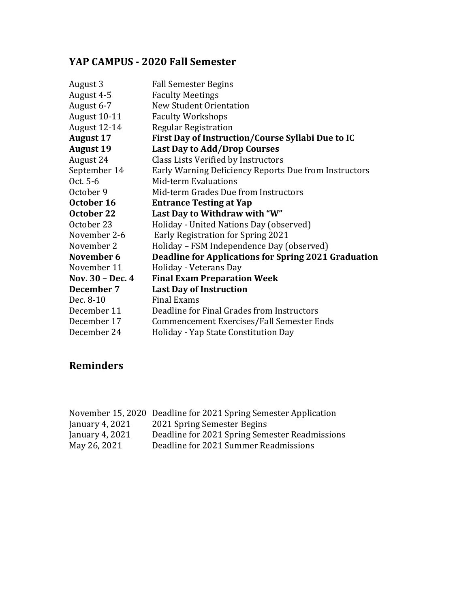## **YAP CAMPUS - 2020 Fall Semester**

| August 3         | <b>Fall Semester Begins</b>                                 |
|------------------|-------------------------------------------------------------|
| August 4-5       | <b>Faculty Meetings</b>                                     |
| August 6-7       | <b>New Student Orientation</b>                              |
| August 10-11     | <b>Faculty Workshops</b>                                    |
| August 12-14     | <b>Regular Registration</b>                                 |
| <b>August 17</b> | First Day of Instruction/Course Syllabi Due to IC           |
| <b>August 19</b> | <b>Last Day to Add/Drop Courses</b>                         |
| August 24        | Class Lists Verified by Instructors                         |
| September 14     | Early Warning Deficiency Reports Due from Instructors       |
| Oct. 5-6         | <b>Mid-term Evaluations</b>                                 |
| October 9        | Mid-term Grades Due from Instructors                        |
| October 16       | <b>Entrance Testing at Yap</b>                              |
| October 22       | Last Day to Withdraw with "W"                               |
| October 23       | Holiday - United Nations Day (observed)                     |
| November 2-6     | Early Registration for Spring 2021                          |
| November 2       | Holiday - FSM Independence Day (observed)                   |
| November 6       | <b>Deadline for Applications for Spring 2021 Graduation</b> |
| November 11      | Holiday - Veterans Day                                      |
| Nov. 30 - Dec. 4 | <b>Final Exam Preparation Week</b>                          |
| December 7       | <b>Last Day of Instruction</b>                              |
| Dec. 8-10        | <b>Final Exams</b>                                          |
| December 11      | Deadline for Final Grades from Instructors                  |
| December 17      | Commencement Exercises/Fall Semester Ends                   |
| December 24      | Holiday - Yap State Constitution Day                        |
|                  |                                                             |

|                 | November 15, 2020 Deadline for 2021 Spring Semester Application |
|-----------------|-----------------------------------------------------------------|
| January 4, 2021 | 2021 Spring Semester Begins                                     |
| January 4, 2021 | Deadline for 2021 Spring Semester Readmissions                  |
| May 26, 2021    | Deadline for 2021 Summer Readmissions                           |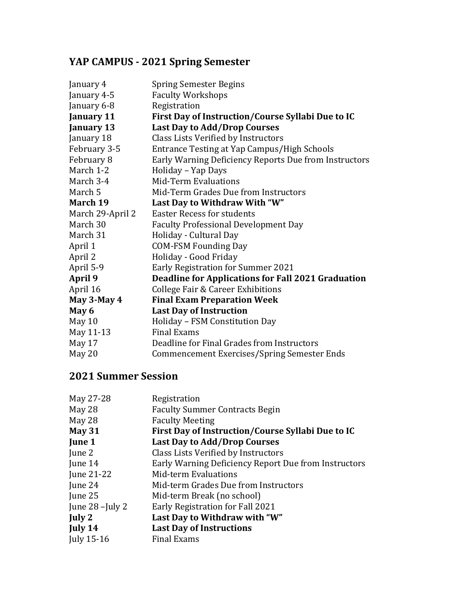# **YAP CAMPUS - 2021 Spring Semester**

| January 4         | <b>Spring Semester Begins</b>                         |
|-------------------|-------------------------------------------------------|
| January 4-5       | <b>Faculty Workshops</b>                              |
| January 6-8       | Registration                                          |
| <b>January 11</b> | First Day of Instruction/Course Syllabi Due to IC     |
| <b>January 13</b> | <b>Last Day to Add/Drop Courses</b>                   |
| January 18        | Class Lists Verified by Instructors                   |
| February 3-5      | Entrance Testing at Yap Campus/High Schools           |
| February 8        | Early Warning Deficiency Reports Due from Instructors |
| March 1-2         | Holiday - Yap Days                                    |
| March 3-4         | <b>Mid-Term Evaluations</b>                           |
| March 5           | Mid-Term Grades Due from Instructors                  |
| March 19          | Last Day to Withdraw With "W"                         |
| March 29-April 2  | <b>Easter Recess for students</b>                     |
| March 30          | <b>Faculty Professional Development Day</b>           |
| March 31          | Holiday - Cultural Day                                |
| April 1           | <b>COM-FSM Founding Day</b>                           |
| April 2           | Holiday - Good Friday                                 |
| April 5-9         | Early Registration for Summer 2021                    |
| April 9           | Deadline for Applications for Fall 2021 Graduation    |
| April 16          | <b>College Fair &amp; Career Exhibitions</b>          |
| May 3-May 4       | <b>Final Exam Preparation Week</b>                    |
| May 6             | <b>Last Day of Instruction</b>                        |
| May 10            | Holiday - FSM Constitution Day                        |
| May 11-13         | <b>Final Exams</b>                                    |
| May 17            | Deadline for Final Grades from Instructors            |
| May 20            | <b>Commencement Exercises/Spring Semester Ends</b>    |

| Registration                                         |
|------------------------------------------------------|
| <b>Faculty Summer Contracts Begin</b>                |
| <b>Faculty Meeting</b>                               |
| First Day of Instruction/Course Syllabi Due to IC    |
| <b>Last Day to Add/Drop Courses</b>                  |
| Class Lists Verified by Instructors                  |
| Early Warning Deficiency Report Due from Instructors |
| Mid-term Evaluations                                 |
| Mid-term Grades Due from Instructors                 |
| Mid-term Break (no school)                           |
| Early Registration for Fall 2021                     |
| Last Day to Withdraw with "W"                        |
| <b>Last Day of Instructions</b>                      |
| <b>Final Exams</b>                                   |
|                                                      |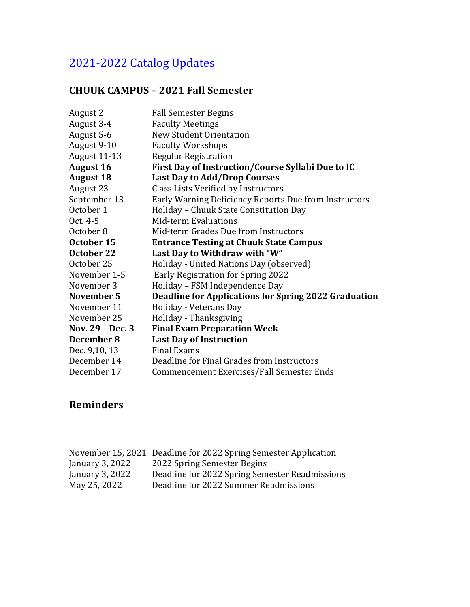# 2021-2022 Catalog Updates

#### **CHUUK CAMPUS – 2021 Fall Semester**

| August 2         | <b>Fall Semester Begins</b>                                 |
|------------------|-------------------------------------------------------------|
| August 3-4       | <b>Faculty Meetings</b>                                     |
| August 5-6       | <b>New Student Orientation</b>                              |
| August 9-10      | <b>Faculty Workshops</b>                                    |
| August 11-13     | <b>Regular Registration</b>                                 |
| <b>August 16</b> | First Day of Instruction/Course Syllabi Due to IC           |
| <b>August 18</b> | <b>Last Day to Add/Drop Courses</b>                         |
| August 23        | Class Lists Verified by Instructors                         |
| September 13     | Early Warning Deficiency Reports Due from Instructors       |
| October 1        | Holiday - Chuuk State Constitution Day                      |
| Oct. 4-5         | <b>Mid-term Evaluations</b>                                 |
| October 8        | Mid-term Grades Due from Instructors                        |
| October 15       | <b>Entrance Testing at Chuuk State Campus</b>               |
| October 22       | Last Day to Withdraw with "W"                               |
| October 25       | Holiday - United Nations Day (observed)                     |
| November 1-5     | Early Registration for Spring 2022                          |
| November 3       | Holiday - FSM Independence Day                              |
| November 5       | <b>Deadline for Applications for Spring 2022 Graduation</b> |
| November 11      | Holiday - Veterans Day                                      |
| November 25      | Holiday - Thanksgiving                                      |
| Nov. 29 - Dec. 3 | <b>Final Exam Preparation Week</b>                          |
| December 8       | <b>Last Day of Instruction</b>                              |
| Dec. 9,10, 13    | <b>Final Exams</b>                                          |
| December 14      | Deadline for Final Grades from Instructors                  |
| December 17      | Commencement Exercises/Fall Semester Ends                   |

|                 | November 15, 2021 Deadline for 2022 Spring Semester Application |
|-----------------|-----------------------------------------------------------------|
| January 3, 2022 | 2022 Spring Semester Begins                                     |
| January 3, 2022 | Deadline for 2022 Spring Semester Readmissions                  |
| May 25, 2022    | Deadline for 2022 Summer Readmissions                           |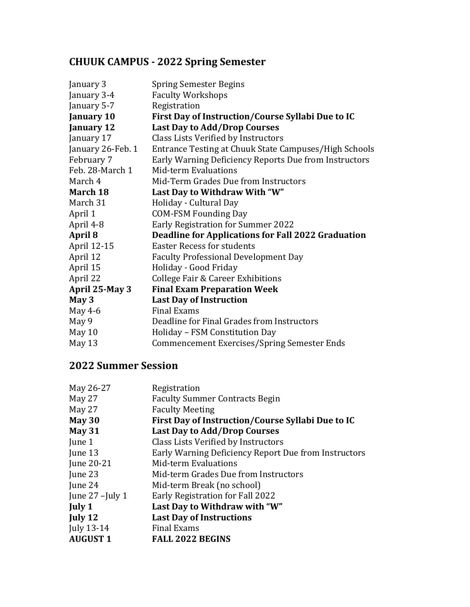## **CHUUK CAMPUS - 2022 Spring Semester**

| January 3         | <b>Spring Semester Begins</b>                             |
|-------------------|-----------------------------------------------------------|
| January 3-4       | <b>Faculty Workshops</b>                                  |
| January 5-7       | Registration                                              |
| <b>January 10</b> | First Day of Instruction/Course Syllabi Due to IC         |
| January 12        | <b>Last Day to Add/Drop Courses</b>                       |
| January 17        | Class Lists Verified by Instructors                       |
| January 26-Feb. 1 | Entrance Testing at Chuuk State Campuses/High Schools     |
| February 7        | Early Warning Deficiency Reports Due from Instructors     |
| Feb. 28-March 1   | Mid-term Evaluations                                      |
| March 4           | Mid-Term Grades Due from Instructors                      |
| March 18          | Last Day to Withdraw With "W"                             |
| March 31          | Holiday - Cultural Day                                    |
| April 1           | <b>COM-FSM Founding Day</b>                               |
| April 4-8         | <b>Early Registration for Summer 2022</b>                 |
| April 8           | <b>Deadline for Applications for Fall 2022 Graduation</b> |
| April 12-15       | <b>Easter Recess for students</b>                         |
| April 12          | <b>Faculty Professional Development Day</b>               |
| April 15          | Holiday - Good Friday                                     |
| April 22          | College Fair & Career Exhibitions                         |
| April 25-May 3    | <b>Final Exam Preparation Week</b>                        |
| May 3             | <b>Last Day of Instruction</b>                            |
| May 4-6           | <b>Final Exams</b>                                        |
| May 9             | Deadline for Final Grades from Instructors                |
| May 10            | Holiday - FSM Constitution Day                            |
| May 13            | <b>Commencement Exercises/Spring Semester Ends</b>        |
|                   |                                                           |

| May 26-27         | Registration                                         |
|-------------------|------------------------------------------------------|
| May 27            | <b>Faculty Summer Contracts Begin</b>                |
| May 27            | <b>Faculty Meeting</b>                               |
| May $30$          | First Day of Instruction/Course Syllabi Due to IC    |
| <b>May 31</b>     | Last Day to Add/Drop Courses                         |
| June 1            | Class Lists Verified by Instructors                  |
| June 13           | Early Warning Deficiency Report Due from Instructors |
| June 20-21        | Mid-term Evaluations                                 |
| June 23           | Mid-term Grades Due from Instructors                 |
| June 24           | Mid-term Break (no school)                           |
| June $27$ -July 1 | Early Registration for Fall 2022                     |
| July 1            | Last Day to Withdraw with "W"                        |
| July 12           | <b>Last Day of Instructions</b>                      |
| July 13-14        | <b>Final Exams</b>                                   |
| <b>AUGUST 1</b>   | <b>FALL 2022 BEGINS</b>                              |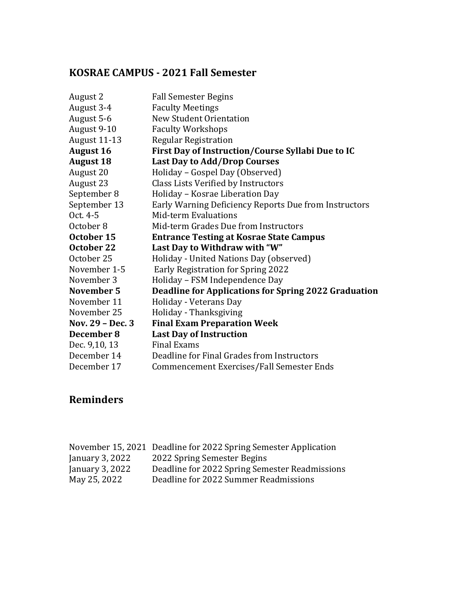## **KOSRAE CAMPUS - 2021 Fall Semester**

| August 2         | <b>Fall Semester Begins</b>                                 |
|------------------|-------------------------------------------------------------|
| August 3-4       | <b>Faculty Meetings</b>                                     |
| August 5-6       | <b>New Student Orientation</b>                              |
| August 9-10      | <b>Faculty Workshops</b>                                    |
| August 11-13     | <b>Regular Registration</b>                                 |
| <b>August 16</b> | First Day of Instruction/Course Syllabi Due to IC           |
| <b>August 18</b> | <b>Last Day to Add/Drop Courses</b>                         |
| August 20        | Holiday - Gospel Day (Observed)                             |
| August 23        | Class Lists Verified by Instructors                         |
| September 8      | Holiday - Kosrae Liberation Day                             |
| September 13     | Early Warning Deficiency Reports Due from Instructors       |
| Oct. 4-5         | Mid-term Evaluations                                        |
| October 8        | Mid-term Grades Due from Instructors                        |
| October 15       | <b>Entrance Testing at Kosrae State Campus</b>              |
| October 22       | Last Day to Withdraw with "W"                               |
| October 25       | Holiday - United Nations Day (observed)                     |
| November 1-5     | Early Registration for Spring 2022                          |
| November 3       | Holiday - FSM Independence Day                              |
| November 5       | <b>Deadline for Applications for Spring 2022 Graduation</b> |
| November 11      | Holiday - Veterans Day                                      |
| November 25      | Holiday - Thanksgiving                                      |
| Nov. 29 - Dec. 3 | <b>Final Exam Preparation Week</b>                          |
| December 8       | <b>Last Day of Instruction</b>                              |
| Dec. 9,10, 13    | <b>Final Exams</b>                                          |
| December 14      | Deadline for Final Grades from Instructors                  |
| December 17      | Commencement Exercises/Fall Semester Ends                   |

|                 | November 15, 2021 Deadline for 2022 Spring Semester Application |
|-----------------|-----------------------------------------------------------------|
| January 3, 2022 | 2022 Spring Semester Begins                                     |
| January 3, 2022 | Deadline for 2022 Spring Semester Readmissions                  |
| May 25, 2022    | Deadline for 2022 Summer Readmissions                           |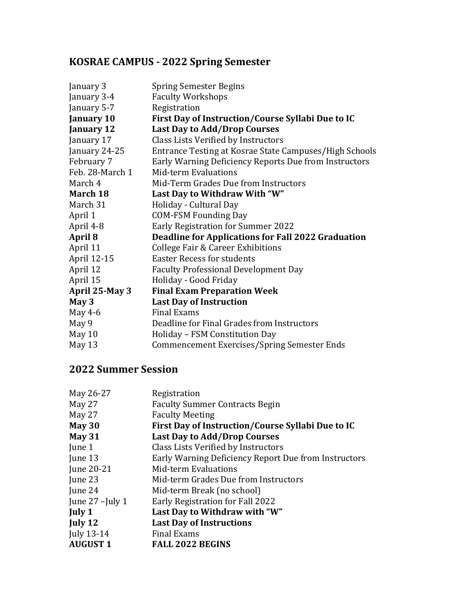## **KOSRAE CAMPUS - 2022 Spring Semester**

| January 3         | <b>Spring Semester Begins</b>                          |
|-------------------|--------------------------------------------------------|
| January 3-4       | <b>Faculty Workshops</b>                               |
| January 5-7       | Registration                                           |
| <b>January 10</b> | First Day of Instruction/Course Syllabi Due to IC      |
| <b>January 12</b> | <b>Last Day to Add/Drop Courses</b>                    |
| January 17        | Class Lists Verified by Instructors                    |
| January 24-25     | Entrance Testing at Kosrae State Campuses/High Schools |
| February 7        | Early Warning Deficiency Reports Due from Instructors  |
| Feb. 28-March 1   | <b>Mid-term Evaluations</b>                            |
| March 4           | Mid-Term Grades Due from Instructors                   |
| March 18          | Last Day to Withdraw With "W"                          |
| March 31          | Holiday - Cultural Day                                 |
| April 1           | <b>COM-FSM Founding Day</b>                            |
| April 4-8         | <b>Early Registration for Summer 2022</b>              |
| April 8           | Deadline for Applications for Fall 2022 Graduation     |
| April 11          | <b>College Fair &amp; Career Exhibitions</b>           |
| April 12-15       | <b>Easter Recess for students</b>                      |
| April 12          | <b>Faculty Professional Development Day</b>            |
| April 15          | Holiday - Good Friday                                  |
| April 25-May 3    | <b>Final Exam Preparation Week</b>                     |
| May 3             | <b>Last Day of Instruction</b>                         |
| May 4-6           | <b>Final Exams</b>                                     |
| May 9             | Deadline for Final Grades from Instructors             |
| May 10            | Holiday - FSM Constitution Day                         |
| May 13            | <b>Commencement Exercises/Spring Semester Ends</b>     |
|                   |                                                        |

| May 26-27         | Registration                                         |
|-------------------|------------------------------------------------------|
| May 27            | <b>Faculty Summer Contracts Begin</b>                |
| May 27            | <b>Faculty Meeting</b>                               |
| May $30$          | First Day of Instruction/Course Syllabi Due to IC    |
| <b>May 31</b>     | <b>Last Day to Add/Drop Courses</b>                  |
| June 1            | Class Lists Verified by Instructors                  |
| June 13           | Early Warning Deficiency Report Due from Instructors |
| June 20-21        | Mid-term Evaluations                                 |
| June 23           | Mid-term Grades Due from Instructors                 |
| June 24           | Mid-term Break (no school)                           |
| June $27$ -July 1 | Early Registration for Fall 2022                     |
| July 1            | Last Day to Withdraw with "W"                        |
| July 12           | <b>Last Day of Instructions</b>                      |
| July 13-14        | <b>Final Exams</b>                                   |
| <b>AUGUST 1</b>   | <b>FALL 2022 BEGINS</b>                              |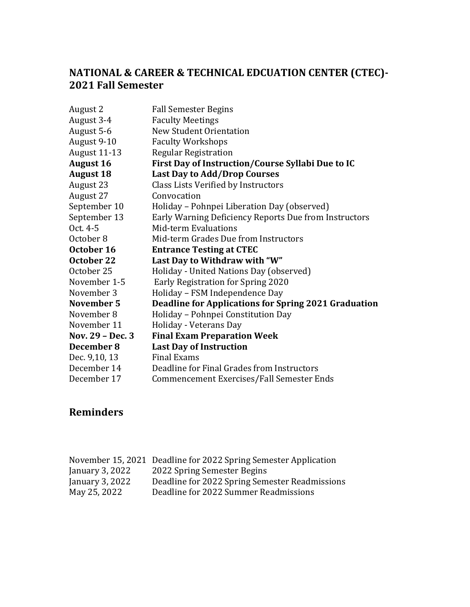### **NATIONAL & CAREER & TECHNICAL EDCUATION CENTER (CTEC)- 2021 Fall Semester**

| August 2         | <b>Fall Semester Begins</b>                                 |
|------------------|-------------------------------------------------------------|
| August 3-4       | <b>Faculty Meetings</b>                                     |
| August 5-6       | <b>New Student Orientation</b>                              |
| August 9-10      | <b>Faculty Workshops</b>                                    |
| August 11-13     | <b>Regular Registration</b>                                 |
| <b>August 16</b> | First Day of Instruction/Course Syllabi Due to IC           |
| <b>August 18</b> | <b>Last Day to Add/Drop Courses</b>                         |
| August 23        | Class Lists Verified by Instructors                         |
| August 27        | Convocation                                                 |
| September 10     | Holiday – Pohnpei Liberation Day (observed)                 |
| September 13     | Early Warning Deficiency Reports Due from Instructors       |
| Oct. 4-5         | <b>Mid-term Evaluations</b>                                 |
| October 8        | Mid-term Grades Due from Instructors                        |
| October 16       | <b>Entrance Testing at CTEC</b>                             |
| October 22       | Last Day to Withdraw with "W"                               |
| October 25       | Holiday - United Nations Day (observed)                     |
| November 1-5     | Early Registration for Spring 2020                          |
| November 3       | Holiday - FSM Independence Day                              |
| November 5       | <b>Deadline for Applications for Spring 2021 Graduation</b> |
| November 8       | Holiday - Pohnpei Constitution Day                          |
| November 11      | Holiday - Veterans Day                                      |
| Nov. 29 - Dec. 3 | <b>Final Exam Preparation Week</b>                          |
| December 8       | <b>Last Day of Instruction</b>                              |
| Dec. 9,10, 13    | <b>Final Exams</b>                                          |
| December 14      | Deadline for Final Grades from Instructors                  |
| December 17      | Commencement Exercises/Fall Semester Ends                   |

|                  | November 15, 2021 Deadline for 2022 Spring Semester Application |
|------------------|-----------------------------------------------------------------|
| January $3,2022$ | 2022 Spring Semester Begins                                     |
| January $3,2022$ | Deadline for 2022 Spring Semester Readmissions                  |
| May 25, 2022     | Deadline for 2022 Summer Readmissions                           |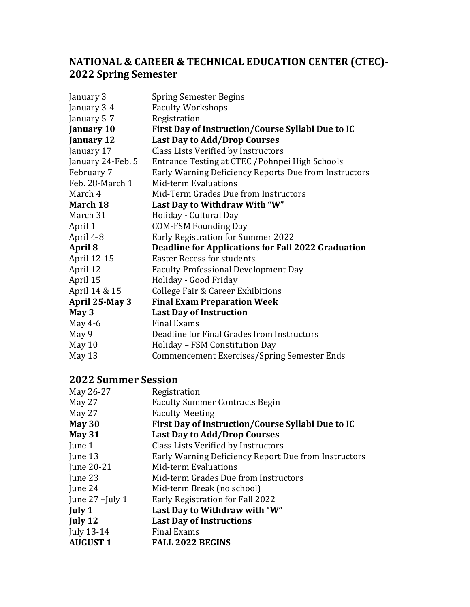### **NATIONAL & CAREER & TECHNICAL EDUCATION CENTER (CTEC)- 2022 Spring Semester**

| January 3         | <b>Spring Semester Begins</b>                         |
|-------------------|-------------------------------------------------------|
| January 3-4       | <b>Faculty Workshops</b>                              |
| January 5-7       | Registration                                          |
| <b>January 10</b> | First Day of Instruction/Course Syllabi Due to IC     |
| <b>January 12</b> | <b>Last Day to Add/Drop Courses</b>                   |
| January 17        | Class Lists Verified by Instructors                   |
| January 24-Feb. 5 | Entrance Testing at CTEC / Pohnpei High Schools       |
| February 7        | Early Warning Deficiency Reports Due from Instructors |
| Feb. 28-March 1   | Mid-term Evaluations                                  |
| March 4           | Mid-Term Grades Due from Instructors                  |
| March 18          | Last Day to Withdraw With "W"                         |
| March 31          | Holiday - Cultural Day                                |
| April 1           | <b>COM-FSM Founding Day</b>                           |
| April 4-8         | <b>Early Registration for Summer 2022</b>             |
| April 8           | Deadline for Applications for Fall 2022 Graduation    |
| April 12-15       | <b>Easter Recess for students</b>                     |
| April 12          | <b>Faculty Professional Development Day</b>           |
| April 15          | Holiday - Good Friday                                 |
| April 14 & 15     | College Fair & Career Exhibitions                     |
| April 25-May 3    | <b>Final Exam Preparation Week</b>                    |
| May 3             | <b>Last Day of Instruction</b>                        |
| May 4-6           | <b>Final Exams</b>                                    |
| May 9             | Deadline for Final Grades from Instructors            |
| May 10            | Holiday - FSM Constitution Day                        |
| May 13            | <b>Commencement Exercises/Spring Semester Ends</b>    |

| May 26-27         | Registration                                         |
|-------------------|------------------------------------------------------|
| May 27            | <b>Faculty Summer Contracts Begin</b>                |
| May 27            | <b>Faculty Meeting</b>                               |
| May $30$          | First Day of Instruction/Course Syllabi Due to IC    |
| <b>May 31</b>     | <b>Last Day to Add/Drop Courses</b>                  |
| June 1            | Class Lists Verified by Instructors                  |
| June 13           | Early Warning Deficiency Report Due from Instructors |
| June 20-21        | <b>Mid-term Evaluations</b>                          |
| June 23           | Mid-term Grades Due from Instructors                 |
| June 24           | Mid-term Break (no school)                           |
| June $27$ -July 1 | Early Registration for Fall 2022                     |
| July 1            | Last Day to Withdraw with "W"                        |
| July 12           | <b>Last Day of Instructions</b>                      |
| July 13-14        | <b>Final Exams</b>                                   |
| <b>AUGUST 1</b>   | <b>FALL 2022 BEGINS</b>                              |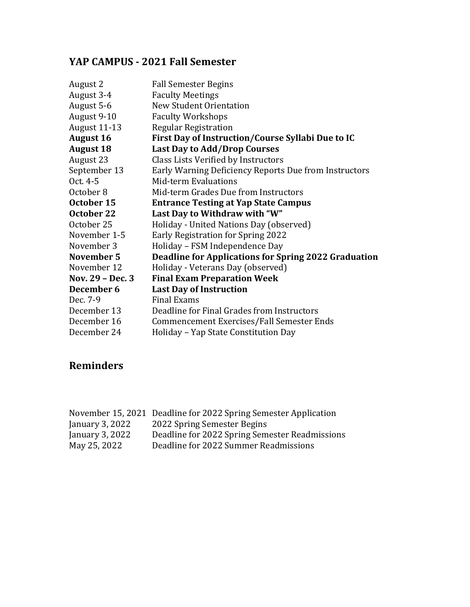## **YAP CAMPUS - 2021 Fall Semester**

| August 2            | <b>Fall Semester Begins</b>                                 |
|---------------------|-------------------------------------------------------------|
| August 3-4          | <b>Faculty Meetings</b>                                     |
| August 5-6          | <b>New Student Orientation</b>                              |
| August 9-10         | <b>Faculty Workshops</b>                                    |
| <b>August 11-13</b> | <b>Regular Registration</b>                                 |
| <b>August 16</b>    | First Day of Instruction/Course Syllabi Due to IC           |
| <b>August 18</b>    | <b>Last Day to Add/Drop Courses</b>                         |
| August 23           | Class Lists Verified by Instructors                         |
| September 13        | Early Warning Deficiency Reports Due from Instructors       |
| Oct. 4-5            | <b>Mid-term Evaluations</b>                                 |
| October 8           | Mid-term Grades Due from Instructors                        |
| October 15          | <b>Entrance Testing at Yap State Campus</b>                 |
| October 22          | Last Day to Withdraw with "W"                               |
| October 25          | Holiday - United Nations Day (observed)                     |
| November 1-5        | Early Registration for Spring 2022                          |
| November 3          | Holiday - FSM Independence Day                              |
| November 5          | <b>Deadline for Applications for Spring 2022 Graduation</b> |
| November 12         | Holiday - Veterans Day (observed)                           |
| Nov. 29 - Dec. 3    | <b>Final Exam Preparation Week</b>                          |
| December 6          | <b>Last Day of Instruction</b>                              |
| Dec. 7-9            | <b>Final Exams</b>                                          |
| December 13         | Deadline for Final Grades from Instructors                  |
| December 16         | Commencement Exercises/Fall Semester Ends                   |
| December 24         | Holiday - Yap State Constitution Day                        |
|                     |                                                             |

| November 15, 2021 Deadline for 2022 Spring Semester Application |
|-----------------------------------------------------------------|
| 2022 Spring Semester Begins                                     |
| Deadline for 2022 Spring Semester Readmissions                  |
| Deadline for 2022 Summer Readmissions                           |
|                                                                 |